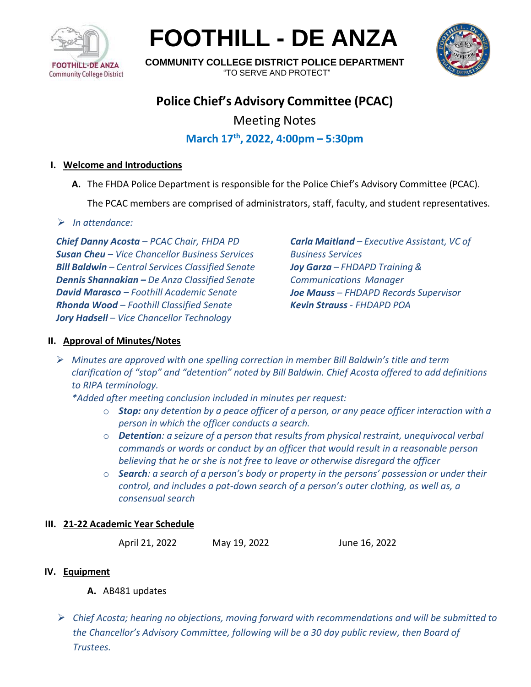

**FOOTHILL - DE ANZA**



**COMMUNITY COLLEGE DISTRICT POLICE DEPARTMENT** "TO SERVE AND PROTECT"

# **Police Chief's Advisory Committee (PCAC)**

Meeting Notes

## **March 17th , 2022, 4:00pm – 5:30pm**

## **I. Welcome and Introductions**

**A.** The FHDA Police Department is responsible for the Police Chief's Advisory Committee (PCAC).

The PCAC members are comprised of administrators, staff, faculty, and student representatives.

## ➢ *In attendance:*

*Chief Danny Acosta – PCAC Chair, FHDA PD Susan Cheu – Vice Chancellor Business Services Bill Baldwin – Central Services Classified Senate Dennis Shannakian – De Anza Classified Senate David Marasco – Foothill Academic Senate Rhonda Wood – Foothill Classified Senate Jory Hadsell – Vice Chancellor Technology*

*Carla Maitland – Executive Assistant, VC of Business Services Joy Garza – FHDAPD Training & Communications Manager Joe Mauss – FHDAPD Records Supervisor Kevin Strauss - FHDAPD POA*

## **II. Approval of Minutes/Notes**

➢ *Minutes are approved with one spelling correction in member Bill Baldwin's title and term clarification of "stop" and "detention" noted by Bill Baldwin. Chief Acosta offered to add definitions to RIPA terminology.*

*\*Added after meeting conclusion included in minutes per request:*

- o *Stop: any detention by a peace officer of a person, or any peace officer interaction with a person in which the officer conducts a search.*
- o *Detention: a seizure of a person that results from physical restraint, unequivocal verbal commands or words or conduct by an officer that would result in a reasonable person believing that he or she is not free to leave or otherwise disregard the officer*
- o *Search: a search of a person's body or property in the persons' possession or under their control, and includes a pat-down search of a person's outer clothing, as well as, a consensual search*

### **III. 21-22 Academic Year Schedule**

April 21, 2022 May 19, 2022 June 16, 2022

## **IV. Equipment**

- **A.** AB481 updates
- ➢ *Chief Acosta; hearing no objections, moving forward with recommendations and will be submitted to the Chancellor's Advisory Committee, following will be a 30 day public review, then Board of Trustees.*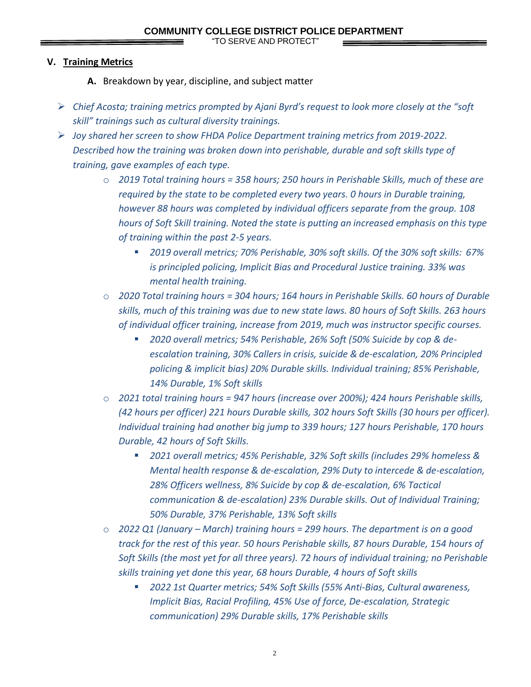"TO SERVE AND PROTECT"

#### **V. Training Metrics**

- **A.** Breakdown by year, discipline, and subject matter
- ➢ *Chief Acosta; training metrics prompted by Ajani Byrd's request to look more closely at the "soft skill" trainings such as cultural diversity trainings.*
- ➢ *Joy shared her screen to show FHDA Police Department training metrics from 2019-2022. Described how the training was broken down into perishable, durable and soft skills type of training, gave examples of each type.*
	- o *2019 Total training hours = 358 hours; 250 hours in Perishable Skills, much of these are required by the state to be completed every two years. 0 hours in Durable training, however 88 hours was completed by individual officers separate from the group. 108 hours of Soft Skill training. Noted the state is putting an increased emphasis on this type of training within the past 2-5 years.*
		- *2019 overall metrics; 70% Perishable, 30% soft skills. Of the 30% soft skills: 67% is principled policing, Implicit Bias and Procedural Justice training. 33% was mental health training.*
	- o *2020 Total training hours = 304 hours; 164 hours in Perishable Skills. 60 hours of Durable skills, much of this training was due to new state laws. 80 hours of Soft Skills. 263 hours of individual officer training, increase from 2019, much was instructor specific courses.*
		- *2020 overall metrics; 54% Perishable, 26% Soft (50% Suicide by cop & deescalation training, 30% Callers in crisis, suicide & de-escalation, 20% Principled policing & implicit bias) 20% Durable skills. Individual training; 85% Perishable, 14% Durable, 1% Soft skills*
	- o *2021 total training hours = 947 hours (increase over 200%); 424 hours Perishable skills, (42 hours per officer) 221 hours Durable skills, 302 hours Soft Skills (30 hours per officer). Individual training had another big jump to 339 hours; 127 hours Perishable, 170 hours Durable, 42 hours of Soft Skills.*
		- *2021 overall metrics; 45% Perishable, 32% Soft skills (includes 29% homeless & Mental health response & de-escalation, 29% Duty to intercede & de-escalation, 28% Officers wellness, 8% Suicide by cop & de-escalation, 6% Tactical communication & de-escalation) 23% Durable skills. Out of Individual Training; 50% Durable, 37% Perishable, 13% Soft skills*
	- o *2022 Q1 (January – March) training hours = 299 hours. The department is on a good track for the rest of this year. 50 hours Perishable skills, 87 hours Durable, 154 hours of Soft Skills (the most yet for all three years). 72 hours of individual training; no Perishable skills training yet done this year, 68 hours Durable, 4 hours of Soft skills*
		- *2022 1st Quarter metrics; 54% Soft Skills (55% Anti-Bias, Cultural awareness, Implicit Bias, Racial Profiling, 45% Use of force, De-escalation, Strategic communication) 29% Durable skills, 17% Perishable skills*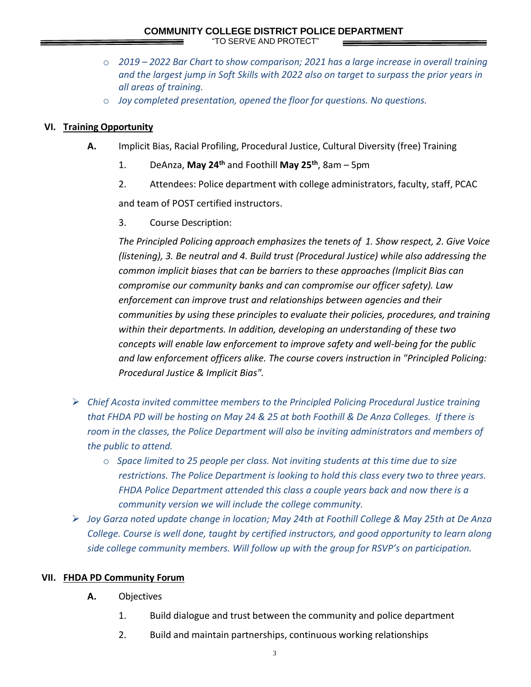- o *2019 – 2022 Bar Chart to show comparison; 2021 has a large increase in overall training and the largest jump in Soft Skills with 2022 also on target to surpass the prior years in all areas of training.*
- o *Joy completed presentation, opened the floor for questions. No questions.*

#### **VI. Training Opportunity**

- **A.** Implicit Bias, Racial Profiling, Procedural Justice, Cultural Diversity (free) Training
	- 1. DeAnza, **May 24th** and Foothill **May 25th**, 8am 5pm
	- 2. Attendees: Police department with college administrators, faculty, staff, PCAC

and team of POST certified instructors.

3. Course Description:

*The Principled Policing approach emphasizes the tenets of 1. Show respect, 2. Give Voice (listening), 3. Be neutral and 4. Build trust (Procedural Justice) while also addressing the common implicit biases that can be barriers to these approaches (Implicit Bias can compromise our community banks and can compromise our officer safety). Law enforcement can improve trust and relationships between agencies and their communities by using these principles to evaluate their policies, procedures, and training within their departments. In addition, developing an understanding of these two concepts will enable law enforcement to improve safety and well-being for the public and law enforcement officers alike. The course covers instruction in "Principled Policing: Procedural Justice & Implicit Bias".*

- ➢ *Chief Acosta invited committee members to the Principled Policing Procedural Justice training that FHDA PD will be hosting on May 24 & 25 at both Foothill & De Anza Colleges. If there is room in the classes, the Police Department will also be inviting administrators and members of the public to attend.*
	- o *Space limited to 25 people per class. Not inviting students at this time due to size restrictions. The Police Department is looking to hold this class every two to three years. FHDA Police Department attended this class a couple years back and now there is a community version we will include the college community.*
- ➢ *Joy Garza noted update change in location; May 24th at Foothill College & May 25th at De Anza College. Course is well done, taught by certified instructors, and good opportunity to learn along side college community members. Will follow up with the group for RSVP's on participation.*

#### **VII. FHDA PD Community Forum**

- **A.** Objectives
	- 1. Build dialogue and trust between the community and police department
	- 2. Build and maintain partnerships, continuous working relationships